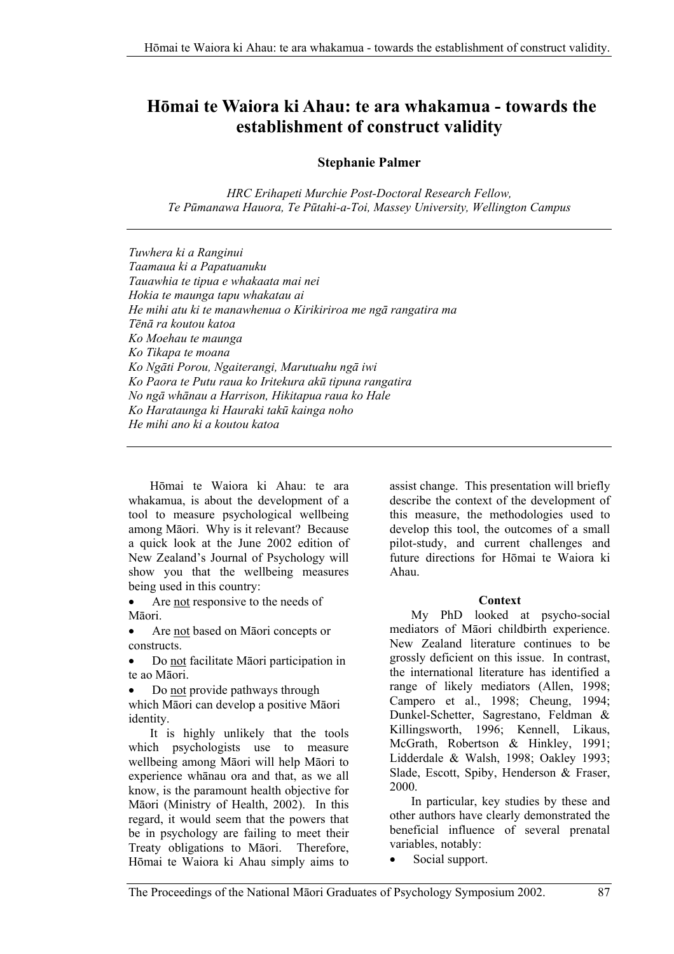# **Hōmai te Waiora ki Ahau: te ara whakamua - towards the establishment of construct validity**

## **Stephanie Palmer**

*HRC Erihapeti Murchie Post-Doctoral Research Fellow, Te Pūmanawa Hauora, Te Pūtahi-a-Toi, Massey University, Wellington Campus* 

*Tuwhera ki a Ranginui Taamaua ki a Papatuanuku Tauawhia te tipua e whakaata mai nei Hokia te maunga tapu whakatau ai He mihi atu ki te manawhenua o Kirikiriroa me ngā rangatira ma Tēnā ra koutou katoa Ko Moehau te maunga Ko Tikapa te moana Ko Ngāti Porou, Ngaiterangi, Marutuahu ngā iwi Ko Paora te Putu raua ko Iritekura akū tipuna rangatira No ngā whānau a Harrison, Hikitapua raua ko Hale Ko Harataunga ki Hauraki takū kainga noho He mihi ano ki a koutou katoa* 

Hōmai te Waiora ki Ahau: te ara whakamua, is about the development of a tool to measure psychological wellbeing among Māori. Why is it relevant? Because a quick look at the June 2002 edition of New Zealand's Journal of Psychology will show you that the wellbeing measures being used in this country:

• Are not responsive to the needs of Māori.

• Are not based on Māori concepts or constructs.

• Do not facilitate Māori participation in te ao Māori.

• Do not provide pathways through which Māori can develop a positive Māori identity.

It is highly unlikely that the tools which psychologists use to measure wellbeing among Māori will help Māori to experience whānau ora and that, as we all know, is the paramount health objective for Māori (Ministry of Health, 2002). In this regard, it would seem that the powers that be in psychology are failing to meet their Treaty obligations to Māori. Therefore, Hōmai te Waiora ki Ahau simply aims to assist change. This presentation will briefly describe the context of the development of this measure, the methodologies used to develop this tool, the outcomes of a small pilot-study, and current challenges and future directions for Hōmai te Waiora ki Ahau.

#### **Context**

My PhD looked at psycho-social mediators of Māori childbirth experience. New Zealand literature continues to be grossly deficient on this issue. In contrast, the international literature has identified a range of likely mediators (Allen, 1998; Campero et al., 1998; Cheung, 1994; Dunkel-Schetter, Sagrestano, Feldman & Killingsworth, 1996; Kennell, Likaus, McGrath, Robertson & Hinkley, 1991; Lidderdale & Walsh, 1998; Oakley 1993; Slade, Escott, Spiby, Henderson & Fraser, 2000.

In particular, key studies by these and other authors have clearly demonstrated the beneficial influence of several prenatal variables, notably:

• Social support.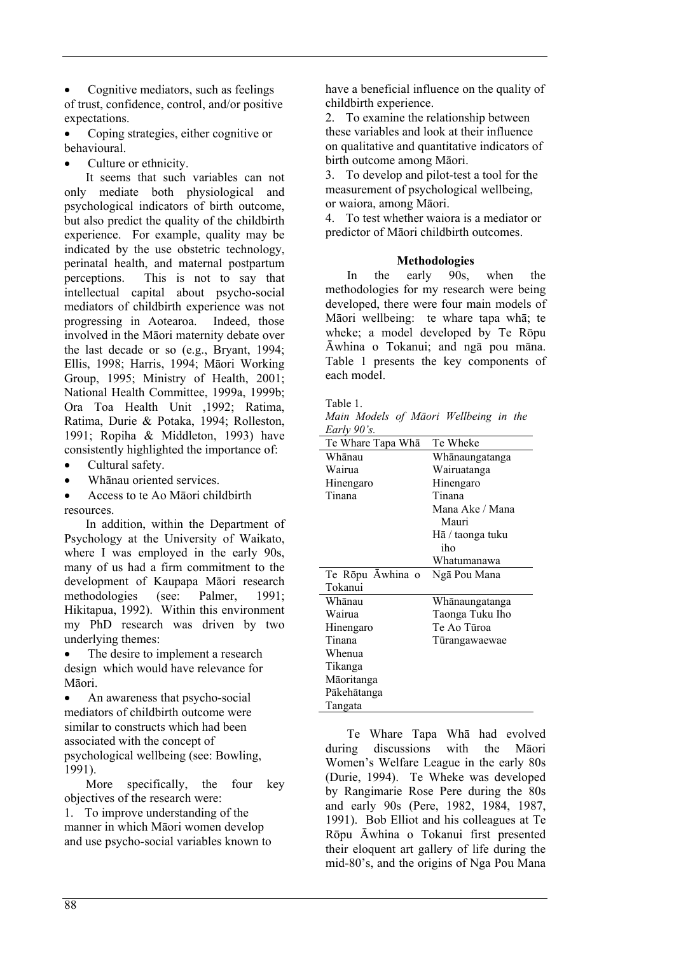• Cognitive mediators, such as feelings of trust, confidence, control, and/or positive expectations.

• Coping strategies, either cognitive or behavioural.

Culture or ethnicity.

It seems that such variables can not only mediate both physiological and psychological indicators of birth outcome, but also predict the quality of the childbirth experience. For example, quality may be indicated by the use obstetric technology, perinatal health, and maternal postpartum perceptions. This is not to say that intellectual capital about psycho-social mediators of childbirth experience was not progressing in Aotearoa. Indeed, those involved in the Māori maternity debate over the last decade or so (e.g., Bryant, 1994; Ellis, 1998; Harris, 1994; Māori Working Group, 1995; Ministry of Health, 2001; National Health Committee, 1999a, 1999b; Ora Toa Health Unit ,1992; Ratima, Ratima, Durie & Potaka, 1994; Rolleston, 1991; Ropiha & Middleton, 1993) have consistently highlighted the importance of:

- Cultural safety.
- Whānau oriented services.

• Access to te Ao Māori childbirth resources.

In addition, within the Department of Psychology at the University of Waikato, where I was employed in the early 90s, many of us had a firm commitment to the development of Kaupapa Māori research methodologies (see: Palmer, 1991; Hikitapua, 1992). Within this environment my PhD research was driven by two underlying themes:

The desire to implement a research design which would have relevance for Māori.

• An awareness that psycho-social mediators of childbirth outcome were similar to constructs which had been associated with the concept of psychological wellbeing (see: Bowling, 1991).

More specifically, the four key objectives of the research were:

1. To improve understanding of the manner in which Māori women develop and use psycho-social variables known to

have a beneficial influence on the quality of childbirth experience.

2. To examine the relationship between these variables and look at their influence on qualitative and quantitative indicators of birth outcome among Māori.

3. To develop and pilot-test a tool for the measurement of psychological wellbeing, or waiora, among Māori.

4. To test whether waiora is a mediator or predictor of Māori childbirth outcomes.

#### **Methodologies**

In the early 90s, when the methodologies for my research were being developed, there were four main models of Māori wellbeing: te whare tapa whā; te wheke; a model developed by Te Rōpu Āwhina o Tokanui; and ngā pou māna. Table 1 presents the key components of each model.

Table 1.

*Main Models of Māori Wellbeing in the Early 90's.* 

| Te Whare Tapa Wha | Te Wheke         |
|-------------------|------------------|
| Whānau            | Whānaungatanga   |
| Wairua            | Wairuatanga      |
| Hinengaro         | Hinengaro        |
| Tinana            | Tinana           |
|                   | Mana Ake / Mana  |
|                   | Mauri            |
|                   | Hā / taonga tuku |
|                   | iho              |
|                   | Whatumanawa      |
| Te Rōpu Āwhina o  | Ngā Pou Mana     |
| Tokanui           |                  |
| Whānau            | Whanaungatanga   |
| Wairua            | Taonga Tuku Iho  |
| Hinengaro         | Te Ao Tūroa      |
| Tinana            | Tūrangawaewae    |
| Whenua            |                  |
| Tikanga           |                  |
| Māoritanga        |                  |
| Pākehātanga       |                  |
| Tangata           |                  |

Te Whare Tapa Whā had evolved during discussions with the Māori Women's Welfare League in the early 80s (Durie, 1994). Te Wheke was developed by Rangimarie Rose Pere during the 80s and early 90s (Pere, 1982, 1984, 1987, 1991). Bob Elliot and his colleagues at Te Rōpu Āwhina o Tokanui first presented their eloquent art gallery of life during the mid-80's, and the origins of Nga Pou Mana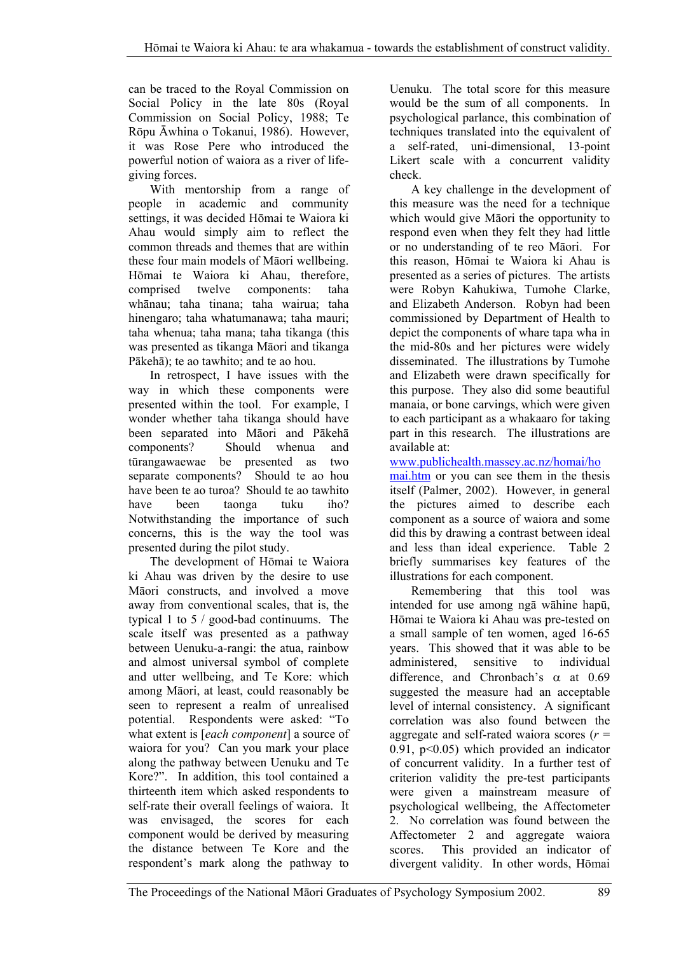can be traced to the Royal Commission on Social Policy in the late 80s (Royal Commission on Social Policy, 1988; Te Rōpu Āwhina o Tokanui, 1986). However, it was Rose Pere who introduced the powerful notion of waiora as a river of lifegiving forces.

With mentorship from a range of people in academic and community settings, it was decided Hōmai te Waiora ki Ahau would simply aim to reflect the common threads and themes that are within these four main models of Māori wellbeing. Hōmai te Waiora ki Ahau, therefore, comprised twelve components: taha whānau; taha tinana; taha wairua; taha hinengaro; taha whatumanawa; taha mauri; taha whenua; taha mana; taha tikanga (this was presented as tikanga Māori and tikanga Pākehā); te ao tawhito; and te ao hou.

In retrospect, I have issues with the way in which these components were presented within the tool. For example, I wonder whether taha tikanga should have been separated into Māori and Pākehā components? Should whenua and tūrangawaewae be presented as two separate components? Should te ao hou have been te ao turoa? Should te ao tawhito have been taonga tuku iho? Notwithstanding the importance of such concerns, this is the way the tool was presented during the pilot study.

The development of Hōmai te Waiora ki Ahau was driven by the desire to use Māori constructs, and involved a move away from conventional scales, that is, the typical 1 to 5 / good-bad continuums. The scale itself was presented as a pathway between Uenuku-a-rangi: the atua, rainbow and almost universal symbol of complete and utter wellbeing, and Te Kore: which among Māori, at least, could reasonably be seen to represent a realm of unrealised potential. Respondents were asked: "To what extent is [*each component*] a source of waiora for you? Can you mark your place along the pathway between Uenuku and Te Kore?". In addition, this tool contained a thirteenth item which asked respondents to self-rate their overall feelings of waiora. It was envisaged, the scores for each component would be derived by measuring the distance between Te Kore and the respondent's mark along the pathway to Uenuku. The total score for this measure would be the sum of all components. In psychological parlance, this combination of techniques translated into the equivalent of a self-rated, uni-dimensional, 13-point Likert scale with a concurrent validity check.

A key challenge in the development of this measure was the need for a technique which would give Māori the opportunity to respond even when they felt they had little or no understanding of te reo Māori. For this reason, Hōmai te Waiora ki Ahau is presented as a series of pictures. The artists were Robyn Kahukiwa, Tumohe Clarke, and Elizabeth Anderson. Robyn had been commissioned by Department of Health to depict the components of whare tapa wha in the mid-80s and her pictures were widely disseminated. The illustrations by Tumohe and Elizabeth were drawn specifically for this purpose. They also did some beautiful manaia, or bone carvings, which were given to each participant as a whakaaro for taking part in this research. The illustrations are available at:

www.publichealth.massey.ac.nz/homai/ho

mai.htm or you can see them in the thesis itself (Palmer, 2002). However, in general the pictures aimed to describe each component as a source of waiora and some did this by drawing a contrast between ideal and less than ideal experience. Table 2 briefly summarises key features of the illustrations for each component.

Remembering that this tool was intended for use among ngā wāhine hapū, Hōmai te Waiora ki Ahau was pre-tested on a small sample of ten women, aged 16-65 years. This showed that it was able to be administered, sensitive to individual difference, and Chronbach's  $\alpha$  at 0.69 suggested the measure had an acceptable level of internal consistency. A significant correlation was also found between the aggregate and self-rated waiora scores (*r* = 0.91, p<0.05) which provided an indicator of concurrent validity. In a further test of criterion validity the pre-test participants were given a mainstream measure of psychological wellbeing, the Affectometer 2. No correlation was found between the Affectometer 2 and aggregate waiora scores. This provided an indicator of divergent validity. In other words, Hōmai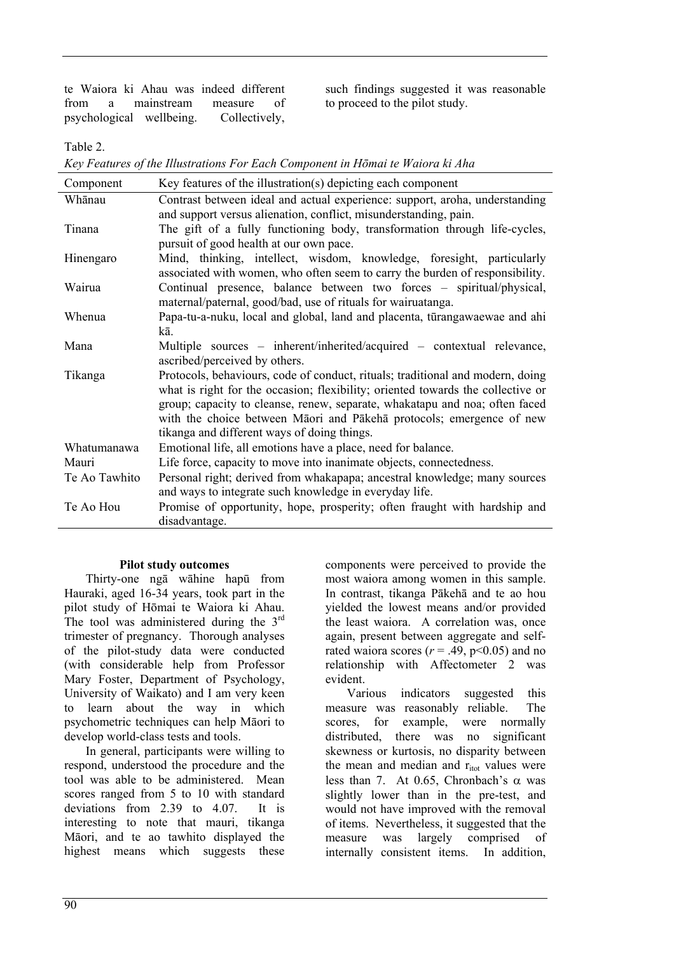te Waiora ki Ahau was indeed different from a mainstream measure of psychological wellbeing. Collectively, such findings suggested it was reasonable to proceed to the pilot study.

Table 2.

*Key Features of the Illustrations For Each Component in Hōmai te Waiora ki Aha* 

| Component     | Key features of the illustration(s) depicting each component                    |
|---------------|---------------------------------------------------------------------------------|
| Whānau        | Contrast between ideal and actual experience: support, aroha, understanding     |
|               | and support versus alienation, conflict, misunderstanding, pain.                |
| Tinana        | The gift of a fully functioning body, transformation through life-cycles,       |
|               | pursuit of good health at our own pace.                                         |
| Hinengaro     | Mind, thinking, intellect, wisdom, knowledge, foresight, particularly           |
|               | associated with women, who often seem to carry the burden of responsibility.    |
| Wairua        | Continual presence, balance between two forces – spiritual/physical,            |
|               | maternal/paternal, good/bad, use of rituals for wairuatanga.                    |
| Whenua        | Papa-tu-a-nuku, local and global, land and placenta, tūrangawaewae and ahi      |
|               | kā                                                                              |
| Mana          | Multiple sources – inherent/inherited/acquired – contextual relevance,          |
|               | ascribed/perceived by others.                                                   |
| Tikanga       | Protocols, behaviours, code of conduct, rituals; traditional and modern, doing  |
|               | what is right for the occasion; flexibility; oriented towards the collective or |
|               | group; capacity to cleanse, renew, separate, whakatapu and noa; often faced     |
|               | with the choice between Māori and Pākehā protocols; emergence of new            |
|               | tikanga and different ways of doing things.                                     |
| Whatumanawa   | Emotional life, all emotions have a place, need for balance.                    |
| Mauri         | Life force, capacity to move into inanimate objects, connectedness.             |
| Te Ao Tawhito | Personal right; derived from whakapapa; ancestral knowledge; many sources       |
|               | and ways to integrate such knowledge in everyday life.                          |
| Te Ao Hou     | Promise of opportunity, hope, prosperity; often fraught with hardship and       |
|               | disadvantage.                                                                   |

#### **Pilot study outcomes**

Thirty-one ngā wāhine hapū from Hauraki, aged 16-34 years, took part in the pilot study of Hōmai te Waiora ki Ahau. The tool was administered during the  $3<sup>rd</sup>$ trimester of pregnancy. Thorough analyses of the pilot-study data were conducted (with considerable help from Professor Mary Foster, Department of Psychology, University of Waikato) and I am very keen to learn about the way in which psychometric techniques can help Māori to develop world-class tests and tools.

In general, participants were willing to respond, understood the procedure and the tool was able to be administered. Mean scores ranged from 5 to 10 with standard deviations from 2.39 to 4.07. It is interesting to note that mauri, tikanga Māori, and te ao tawhito displayed the highest means which suggests these

components were perceived to provide the most waiora among women in this sample. In contrast, tikanga Pākehā and te ao hou yielded the lowest means and/or provided the least waiora. A correlation was, once again, present between aggregate and selfrated waiora scores ( $r = .49$ ,  $p < 0.05$ ) and no relationship with Affectometer 2 was evident.

Various indicators suggested this measure was reasonably reliable. The scores, for example, were normally distributed, there was no significant skewness or kurtosis, no disparity between the mean and median and  $r_{\text{itot}}$  values were less than 7. At 0.65, Chronbach's  $\alpha$  was slightly lower than in the pre-test, and would not have improved with the removal of items. Nevertheless, it suggested that the measure was largely comprised of internally consistent items. In addition,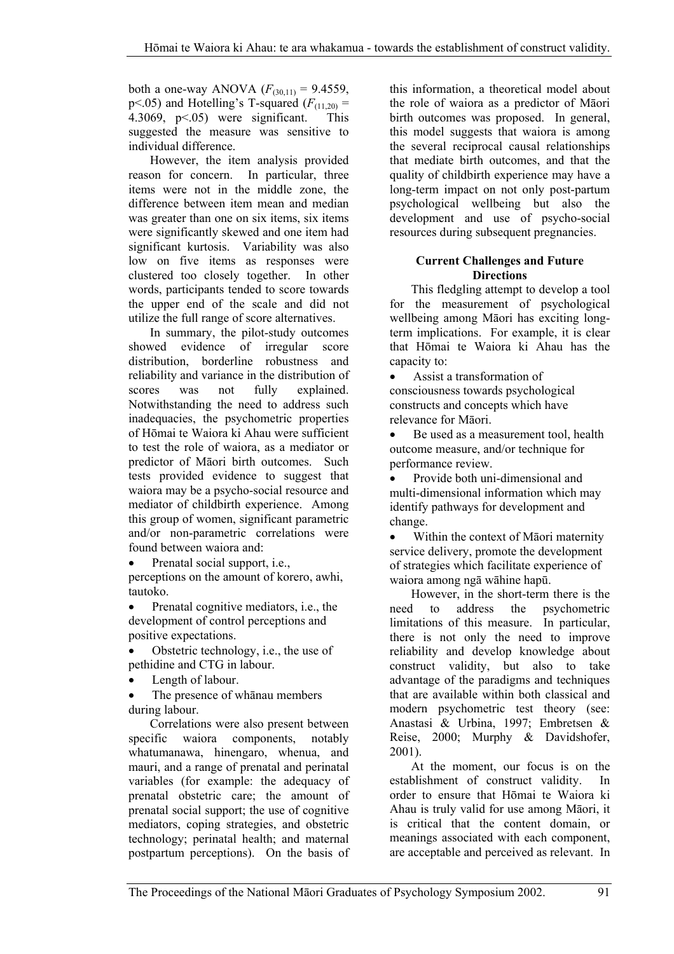both a one-way ANOVA  $(F_{(30,11)} = 9.4559)$ , p<.05) and Hotelling's T-squared  $(F_{(11,20)} =$ 4.3069, p<.05) were significant. This suggested the measure was sensitive to individual difference.

However, the item analysis provided reason for concern. In particular, three items were not in the middle zone, the difference between item mean and median was greater than one on six items, six items were significantly skewed and one item had significant kurtosis. Variability was also low on five items as responses were clustered too closely together. In other words, participants tended to score towards the upper end of the scale and did not utilize the full range of score alternatives.

In summary, the pilot-study outcomes showed evidence of irregular score distribution, borderline robustness and reliability and variance in the distribution of scores was not fully explained. Notwithstanding the need to address such inadequacies, the psychometric properties of Hōmai te Waiora ki Ahau were sufficient to test the role of waiora, as a mediator or predictor of Māori birth outcomes. Such tests provided evidence to suggest that waiora may be a psycho-social resource and mediator of childbirth experience. Among this group of women, significant parametric and/or non-parametric correlations were found between waiora and:

• Prenatal social support, i.e., perceptions on the amount of korero, awhi, tautoko.

• Prenatal cognitive mediators, i.e., the development of control perceptions and positive expectations.

- Obstetric technology, i.e., the use of pethidine and CTG in labour.
- Length of labour.

The presence of whanau members during labour.

Correlations were also present between specific waiora components, notably whatumanawa, hinengaro, whenua, and mauri, and a range of prenatal and perinatal variables (for example: the adequacy of prenatal obstetric care; the amount of prenatal social support; the use of cognitive mediators, coping strategies, and obstetric technology; perinatal health; and maternal postpartum perceptions). On the basis of this information, a theoretical model about the role of waiora as a predictor of Māori birth outcomes was proposed. In general, this model suggests that waiora is among the several reciprocal causal relationships that mediate birth outcomes, and that the quality of childbirth experience may have a long-term impact on not only post-partum psychological wellbeing but also the development and use of psycho-social resources during subsequent pregnancies.

### **Current Challenges and Future Directions**

This fledgling attempt to develop a tool for the measurement of psychological wellbeing among Māori has exciting longterm implications. For example, it is clear that Hōmai te Waiora ki Ahau has the capacity to:

• Assist a transformation of consciousness towards psychological constructs and concepts which have relevance for Māori.

Be used as a measurement tool, health outcome measure, and/or technique for performance review.

• Provide both uni-dimensional and multi-dimensional information which may identify pathways for development and change.

• Within the context of Māori maternity service delivery, promote the development of strategies which facilitate experience of waiora among ngā wāhine hapū.

However, in the short-term there is the need to address the psychometric limitations of this measure. In particular, there is not only the need to improve reliability and develop knowledge about construct validity, but also to take advantage of the paradigms and techniques that are available within both classical and modern psychometric test theory (see: Anastasi & Urbina, 1997; Embretsen & Reise, 2000; Murphy & Davidshofer, 2001).

At the moment, our focus is on the establishment of construct validity. In order to ensure that Hōmai te Waiora ki Ahau is truly valid for use among Māori, it is critical that the content domain, or meanings associated with each component, are acceptable and perceived as relevant. In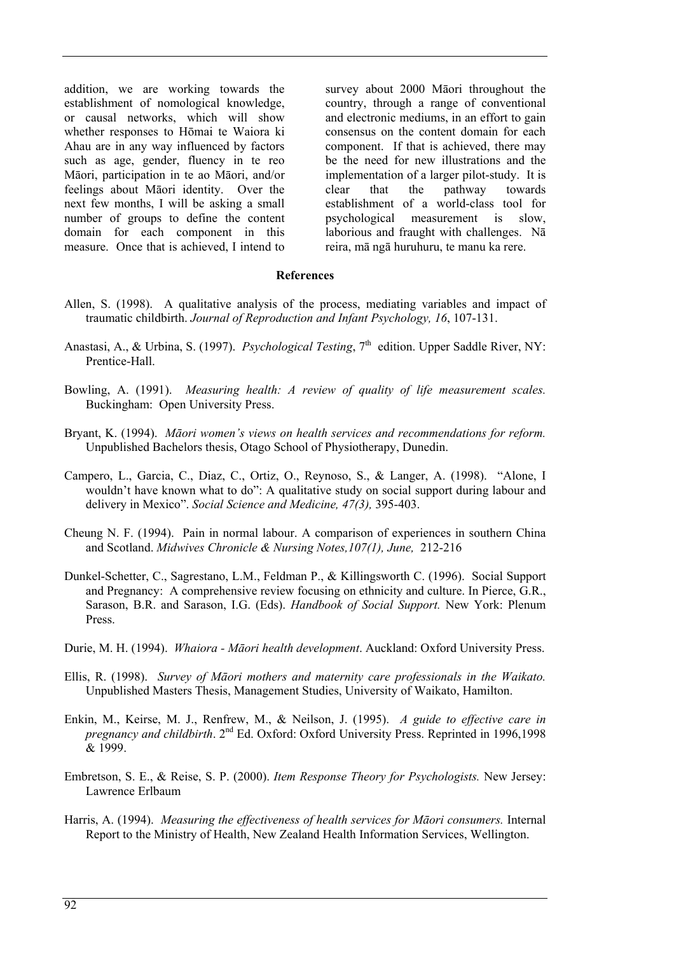addition, we are working towards the establishment of nomological knowledge, or causal networks, which will show whether responses to Hōmai te Waiora ki Ahau are in any way influenced by factors such as age, gender, fluency in te reo Māori, participation in te ao Māori, and/or feelings about Māori identity. Over the next few months, I will be asking a small number of groups to define the content domain for each component in this measure. Once that is achieved, I intend to survey about 2000 Māori throughout the country, through a range of conventional and electronic mediums, in an effort to gain consensus on the content domain for each component. If that is achieved, there may be the need for new illustrations and the implementation of a larger pilot-study. It is clear that the pathway towards establishment of a world-class tool for psychological measurement is slow, laborious and fraught with challenges. Nā reira, mā ngā huruhuru, te manu ka rere.

#### **References**

- Allen, S. (1998). A qualitative analysis of the process, mediating variables and impact of traumatic childbirth. *Journal of Reproduction and Infant Psychology, 16*, 107-131.
- Anastasi, A., & Urbina, S. (1997). *Psychological Testing*, 7<sup>th</sup> edition. Upper Saddle River, NY: Prentice-Hall.
- Bowling, A. (1991). *Measuring health: A review of quality of life measurement scales.* Buckingham: Open University Press.
- Bryant, K. (1994). *Māori women's views on health services and recommendations for reform.* Unpublished Bachelors thesis, Otago School of Physiotherapy, Dunedin.
- Campero, L., Garcia, C., Diaz, C., Ortiz, O., Reynoso, S., & Langer, A. (1998). "Alone, I wouldn't have known what to do": A qualitative study on social support during labour and delivery in Mexico". *Social Science and Medicine, 47(3),* 395-403.
- Cheung N. F. (1994). Pain in normal labour. A comparison of experiences in southern China and Scotland. *Midwives Chronicle & Nursing Notes,107(1), June,* 212-216
- Dunkel-Schetter, C., Sagrestano, L.M., Feldman P., & Killingsworth C. (1996). Social Support and Pregnancy: A comprehensive review focusing on ethnicity and culture. In Pierce, G.R., Sarason, B.R. and Sarason, I.G. (Eds). *Handbook of Social Support.* New York: Plenum Press.
- Durie, M. H. (1994). *Whaiora Māori health development*. Auckland: Oxford University Press.
- Ellis, R. (1998). *Survey of Māori mothers and maternity care professionals in the Waikato.* Unpublished Masters Thesis, Management Studies, University of Waikato, Hamilton.
- Enkin, M., Keirse, M. J., Renfrew, M., & Neilson, J. (1995). *A guide to effective care in pregnancy and childbirth.* 2<sup>nd</sup> Ed. Oxford: Oxford University Press. Reprinted in 1996,1998 & 1999.
- Embretson, S. E., & Reise, S. P. (2000). *Item Response Theory for Psychologists.* New Jersey: Lawrence Erlbaum
- Harris, A. (1994). *Measuring the effectiveness of health services for Māori consumers.* Internal Report to the Ministry of Health, New Zealand Health Information Services, Wellington.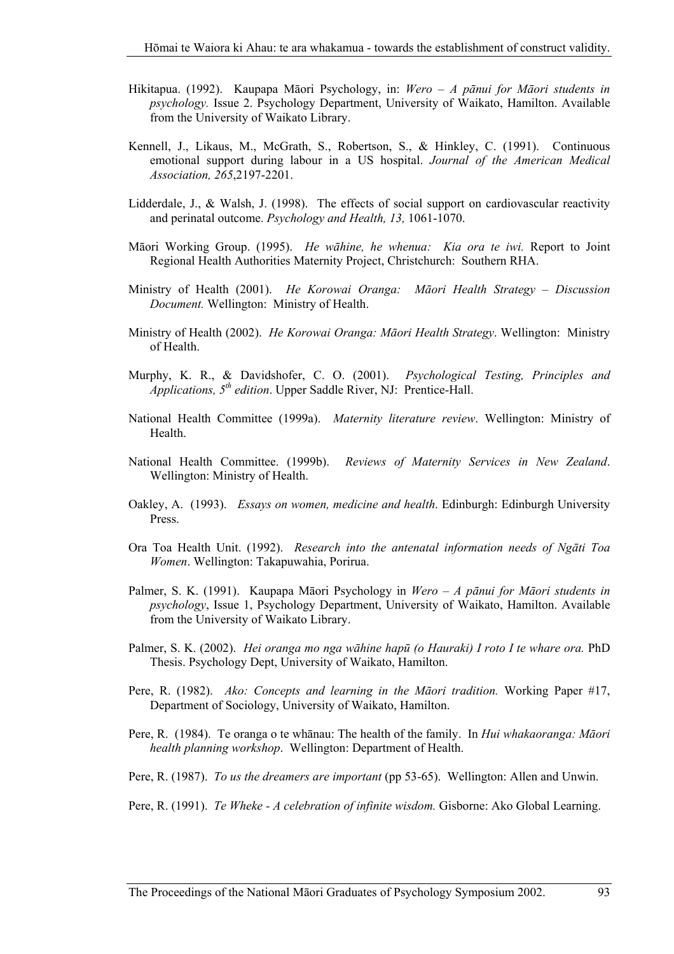- Hikitapua. (1992). Kaupapa Māori Psychology, in: *Wero A pānui for Māori students in psychology.* Issue 2. Psychology Department, University of Waikato, Hamilton. Available from the University of Waikato Library.
- Kennell, J., Likaus, M., McGrath, S., Robertson, S., & Hinkley, C. (1991). Continuous emotional support during labour in a US hospital. *Journal of the American Medical Association, 265*,2197-2201.
- Lidderdale, J., & Walsh, J. (1998). The effects of social support on cardiovascular reactivity and perinatal outcome. *Psychology and Health, 13,* 1061-1070.
- Māori Working Group. (1995). *He wāhine, he whenua: Kia ora te iwi.* Report to Joint Regional Health Authorities Maternity Project, Christchurch: Southern RHA.
- Ministry of Health (2001). *He Korowai Oranga: Māori Health Strategy Discussion Document.* Wellington: Ministry of Health.
- Ministry of Health (2002). *He Korowai Oranga: Māori Health Strategy*. Wellington: Ministry of Health.
- Murphy, K. R., & Davidshofer, C. O. (2001). *Psychological Testing, Principles and Applications, 5th edition*. Upper Saddle River, NJ: Prentice-Hall.
- National Health Committee (1999a). *Maternity literature review*. Wellington: Ministry of **Health**
- National Health Committee. (1999b). *Reviews of Maternity Services in New Zealand*. Wellington: Ministry of Health.
- Oakley, A. (1993). *Essays on women, medicine and health*. Edinburgh: Edinburgh University Press.
- Ora Toa Health Unit. (1992). *Research into the antenatal information needs of Ngāti Toa Women*. Wellington: Takapuwahia, Porirua.
- Palmer, S. K. (1991). Kaupapa Māori Psychology in *Wero A pānui for Māori students in psychology*, Issue 1, Psychology Department, University of Waikato, Hamilton. Available from the University of Waikato Library.
- Palmer, S. K. (2002). *Hei oranga mo nga wāhine hapū (o Hauraki) I roto I te whare ora.* PhD Thesis. Psychology Dept, University of Waikato, Hamilton.
- Pere, R. (1982). *Ako: Concepts and learning in the Māori tradition.* Working Paper #17, Department of Sociology, University of Waikato, Hamilton.
- Pere, R. (1984). Te oranga o te whānau: The health of the family. In *Hui whakaoranga: Māori health planning workshop*. Wellington: Department of Health.
- Pere, R. (1987). *To us the dreamers are important* (pp 53-65). Wellington: Allen and Unwin.
- Pere, R. (1991). *Te Wheke A celebration of infinite wisdom.* Gisborne: Ako Global Learning.